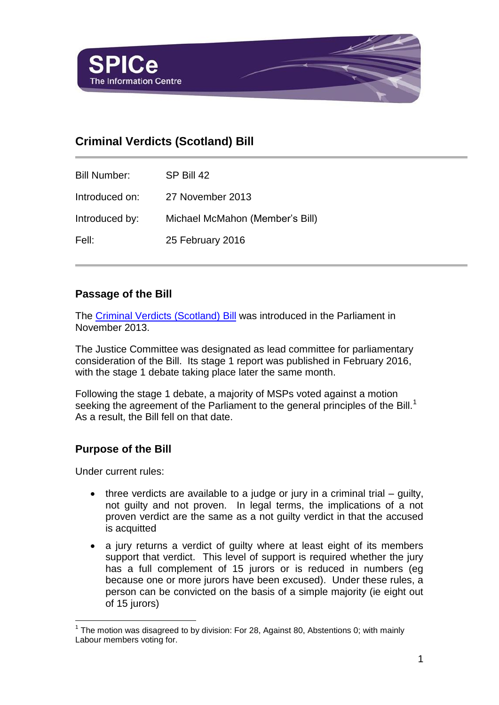

## **Criminal Verdicts (Scotland) Bill**

| <b>Bill Number:</b> | SP Bill 42                      |
|---------------------|---------------------------------|
| Introduced on:      | 27 November 2013                |
| Introduced by:      | Michael McMahon (Member's Bill) |
| Fell:               | 25 February 2016                |

## **Passage of the Bill**

The [Criminal Verdicts](http://www.scottish.parliament.uk/parliamentarybusiness/Bills/70453.aspx) (Scotland) Bill was introduced in the Parliament in November 2013.

The Justice Committee was designated as lead committee for parliamentary consideration of the Bill. Its stage 1 report was published in February 2016, with the stage 1 debate taking place later the same month.

Following the stage 1 debate, a majority of MSPs voted against a motion seeking the agreement of the Parliament to the general principles of the Bill.<sup>1</sup> As a result, the Bill fell on that date.

## **Purpose of the Bill**

Under current rules:

l

- three verdicts are available to a judge or jury in a criminal trial guilty, not guilty and not proven. In legal terms, the implications of a not proven verdict are the same as a not guilty verdict in that the accused is acquitted
- a jury returns a verdict of guilty where at least eight of its members support that verdict. This level of support is required whether the jury has a full complement of 15 jurors or is reduced in numbers (eg because one or more jurors have been excused). Under these rules, a person can be convicted on the basis of a simple majority (ie eight out of 15 jurors)

 $1$  The motion was disagreed to by division: For 28, Against 80, Abstentions 0; with mainly Labour members voting for.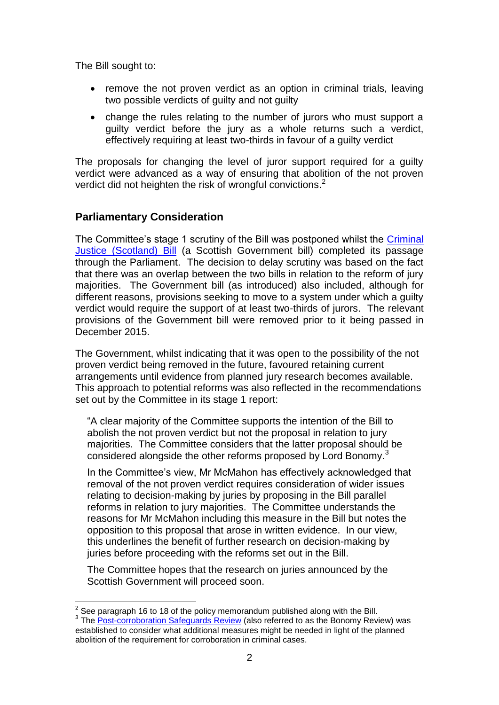The Bill sought to:

- remove the not proven verdict as an option in criminal trials, leaving two possible verdicts of guilty and not guilty
- change the rules relating to the number of jurors who must support a guilty verdict before the jury as a whole returns such a verdict, effectively requiring at least two-thirds in favour of a guilty verdict

The proposals for changing the level of juror support required for a guilty verdict were advanced as a way of ensuring that abolition of the not proven verdict did not heighten the risk of wrongful convictions.<sup>2</sup>

## **Parliamentary Consideration**

The Committee's stage 1 scrutiny of the Bill was postponed whilst the [Criminal](http://www.scottish.parliament.uk/parliamentarybusiness/Bills/65155.aspx)  [Justice \(Scotland\) Bill](http://www.scottish.parliament.uk/parliamentarybusiness/Bills/65155.aspx) (a Scottish Government bill) completed its passage through the Parliament. The decision to delay scrutiny was based on the fact that there was an overlap between the two bills in relation to the reform of jury majorities. The Government bill (as introduced) also included, although for different reasons, provisions seeking to move to a system under which a guilty verdict would require the support of at least two-thirds of jurors. The relevant provisions of the Government bill were removed prior to it being passed in December 2015.

The Government, whilst indicating that it was open to the possibility of the not proven verdict being removed in the future, favoured retaining current arrangements until evidence from planned jury research becomes available. This approach to potential reforms was also reflected in the recommendations set out by the Committee in its stage 1 report:

"A clear majority of the Committee supports the intention of the Bill to abolish the not proven verdict but not the proposal in relation to jury majorities. The Committee considers that the latter proposal should be considered alongside the other reforms proposed by Lord Bonomy.<sup>3</sup>

In the Committee's view, Mr McMahon has effectively acknowledged that removal of the not proven verdict requires consideration of wider issues relating to decision-making by juries by proposing in the Bill parallel reforms in relation to jury majorities. The Committee understands the reasons for Mr McMahon including this measure in the Bill but notes the opposition to this proposal that arose in written evidence. In our view, this underlines the benefit of further research on decision-making by juries before proceeding with the reforms set out in the Bill.

The Committee hopes that the research on juries announced by the Scottish Government will proceed soon.

 2 See paragraph 16 to 18 of the policy memorandum published along with the Bill.

<sup>&</sup>lt;sup>3</sup> The **Post-corroboration Safeguards Review** (also referred to as the Bonomy Review) was established to consider what additional measures might be needed in light of the planned abolition of the requirement for corroboration in criminal cases.